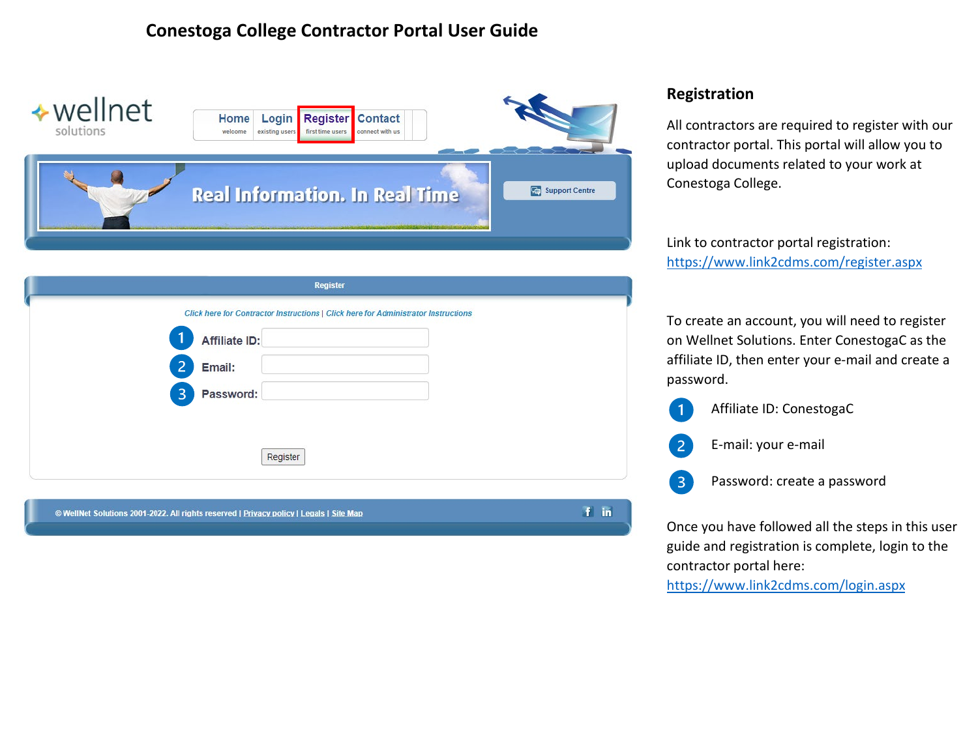

|                                                                                         | <b>Register</b>                                                                    |
|-----------------------------------------------------------------------------------------|------------------------------------------------------------------------------------|
|                                                                                         | Click here for Contractor Instructions   Click here for Administrator Instructions |
| Affiliate ID:                                                                           |                                                                                    |
| 2 <br>Email:                                                                            |                                                                                    |
| 3<br>Password:                                                                          |                                                                                    |
|                                                                                         |                                                                                    |
|                                                                                         |                                                                                    |
| Register                                                                                |                                                                                    |
|                                                                                         |                                                                                    |
| © WellNet Solutions 2001-2022. All rights reserved   Privacy policy   Legals   Site Map | Ŧ.<br>in.                                                                          |

### **Registration**

All contractors are required to register with our contractor portal. This portal will allow you to upload documents related to your work at Conestoga College.

Link to contractor portal registration: <https://www.link2cdms.com/register.aspx>

To create an account, you will need to register on Wellnet Solutions. Enter ConestogaC as the affiliate ID, then enter your e-mail and create a password.

- Affiliate ID: ConestogaC E-mail: your e-mail
- Password: create a password  $\overline{3}$

Once you have followed all the steps in this user guide and registration is complete, login to the contractor portal here:

<https://www.link2cdms.com/login.aspx>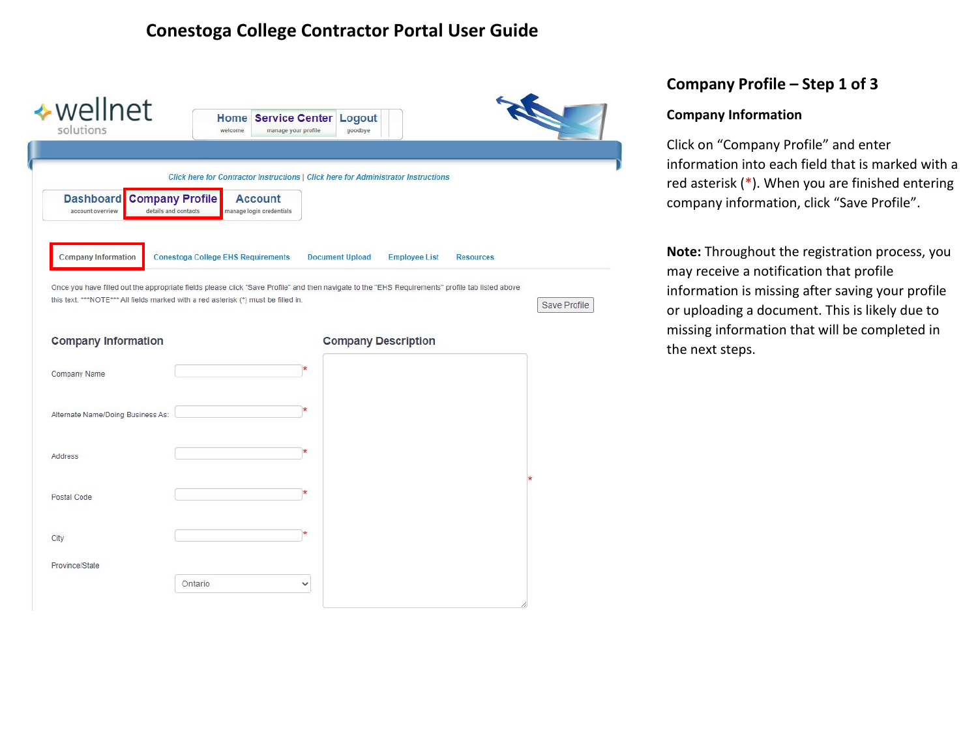| ◆ wellnet<br>solutions                                                                 | <b>Home Service Center Logout</b><br>welcome<br>manage your profile                                                                                                                                                                    | goodbye                    |                      |                  |              |
|----------------------------------------------------------------------------------------|----------------------------------------------------------------------------------------------------------------------------------------------------------------------------------------------------------------------------------------|----------------------------|----------------------|------------------|--------------|
|                                                                                        |                                                                                                                                                                                                                                        |                            |                      |                  |              |
|                                                                                        | Click here for Contractor Instructions   Click here for Administrator Instructions                                                                                                                                                     |                            |                      |                  |              |
| <b>Dashboard</b><br><b>Company Profile</b><br>details and contacts<br>account overview | <b>Account</b><br>manage login credentials                                                                                                                                                                                             |                            |                      |                  |              |
| <b>Company Information</b>                                                             | <b>Conestoga College EHS Requirements</b>                                                                                                                                                                                              | <b>Document Upload</b>     | <b>Employee List</b> | <b>Resources</b> |              |
|                                                                                        |                                                                                                                                                                                                                                        |                            |                      |                  |              |
|                                                                                        | Once you have filled out the appropriate fields please click "Save Profile" and then navigate to the "EHS Requirements" profile tab listed above<br>this text. ***NOTE*** All fields marked with a red asterisk (*) must be filled in. |                            |                      |                  | Save Profile |
|                                                                                        |                                                                                                                                                                                                                                        |                            |                      |                  |              |
| <b>Company Information</b>                                                             |                                                                                                                                                                                                                                        | <b>Company Description</b> |                      |                  |              |
| <b>Company Name</b>                                                                    |                                                                                                                                                                                                                                        |                            |                      |                  |              |
|                                                                                        |                                                                                                                                                                                                                                        |                            |                      |                  |              |
| Alternate Name/Doing Business As:                                                      |                                                                                                                                                                                                                                        |                            |                      |                  |              |
|                                                                                        |                                                                                                                                                                                                                                        |                            |                      |                  |              |
| Address                                                                                |                                                                                                                                                                                                                                        |                            |                      |                  |              |
|                                                                                        |                                                                                                                                                                                                                                        |                            |                      |                  |              |
| Postal Code                                                                            |                                                                                                                                                                                                                                        |                            |                      |                  |              |
|                                                                                        |                                                                                                                                                                                                                                        |                            |                      |                  |              |
| City<br>Province/State                                                                 |                                                                                                                                                                                                                                        |                            |                      |                  |              |

#### **Company Profile – Step 1 of 3**

#### **Company Information**

Click on "Company Profile" and enter information into each field that is marked with a red asterisk (\*). When you are finished entering company information, click "Save Profile".

**Note:** Throughout the registration process, you may receive a notification that profile information is missing after saving your profile or uploading a document. This is likely due to missing information that will be completed in the next steps.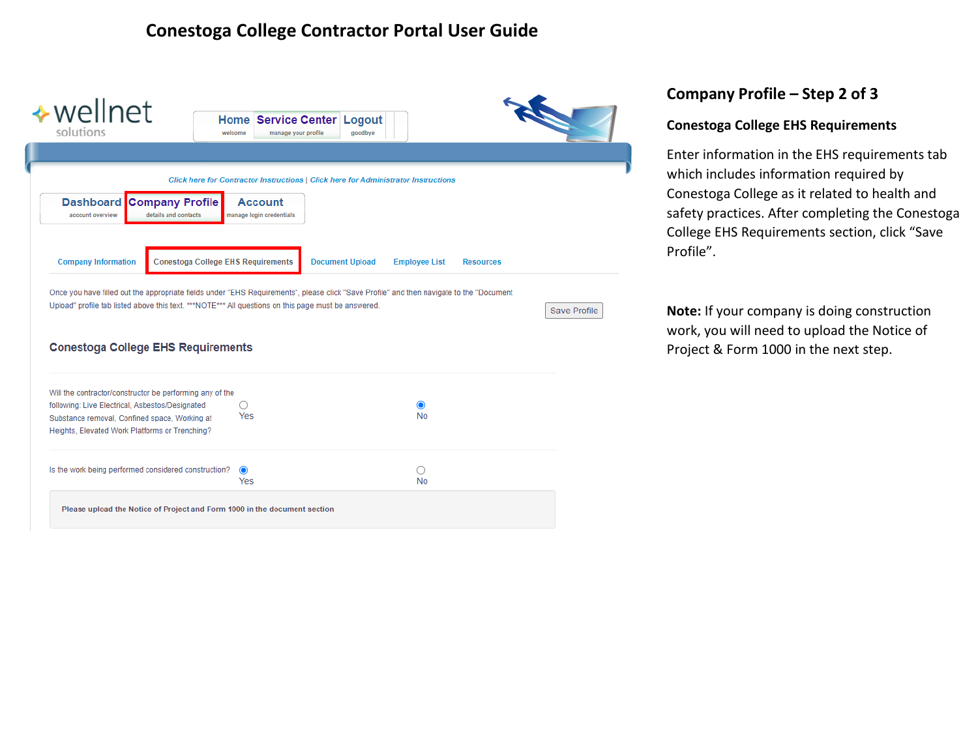| ◆ wellnet<br>solutions                                                                                                                                       | welcome                                        | <b>Home Service Center</b><br>Logout<br>goodbye<br>manage your profile                                                                                                                                                                          |                     |
|--------------------------------------------------------------------------------------------------------------------------------------------------------------|------------------------------------------------|-------------------------------------------------------------------------------------------------------------------------------------------------------------------------------------------------------------------------------------------------|---------------------|
|                                                                                                                                                              |                                                |                                                                                                                                                                                                                                                 |                     |
|                                                                                                                                                              |                                                | Click here for Contractor Instructions   Click here for Administrator Instructions                                                                                                                                                              |                     |
| <b>Dashboard</b><br>account overview                                                                                                                         | <b>Company Profile</b><br>details and contacts | <b>Account</b><br>manage login credentials                                                                                                                                                                                                      |                     |
| <b>Company Information</b>                                                                                                                                   | <b>Conestoga College EHS Requirements</b>      | <b>Document Upload</b><br><b>Employee List</b>                                                                                                                                                                                                  | <b>Resources</b>    |
|                                                                                                                                                              |                                                | Once you have filled out the appropriate fields under "EHS Requirements", please click "Save Profile" and then navigate to the "Document<br>Upload" profile tab listed above this text. ***NOTE*** All questions on this page must be answered. | <b>Save Profile</b> |
|                                                                                                                                                              |                                                |                                                                                                                                                                                                                                                 |                     |
| <b>Conestoga College EHS Requirements</b>                                                                                                                    |                                                |                                                                                                                                                                                                                                                 |                     |
| Will the contractor/constructor be performing any of the<br>following: Live Electrical, Asbestos/Designated<br>Substance removal, Confined space, Working at |                                                | ∩<br>◉<br>Yes<br>No.                                                                                                                                                                                                                            |                     |
| Heights, Elevated Work Platforms or Trenching?<br>Is the work being performed considered construction?                                                       |                                                | $\bullet$<br>Yes<br><b>No</b>                                                                                                                                                                                                                   |                     |

### **Company Profile – Step 2 of 3**

#### **Conestoga College EHS Requirements**

Enter information in the EHS requirements tab which includes information required by Conestoga College as it related to health and safety practices. After completing the Conestoga College EHS Requirements section, click "Save Profile".

**Note:** If your company is doing construction work, you will need to upload the Notice of Project & Form 1000 in the next step.